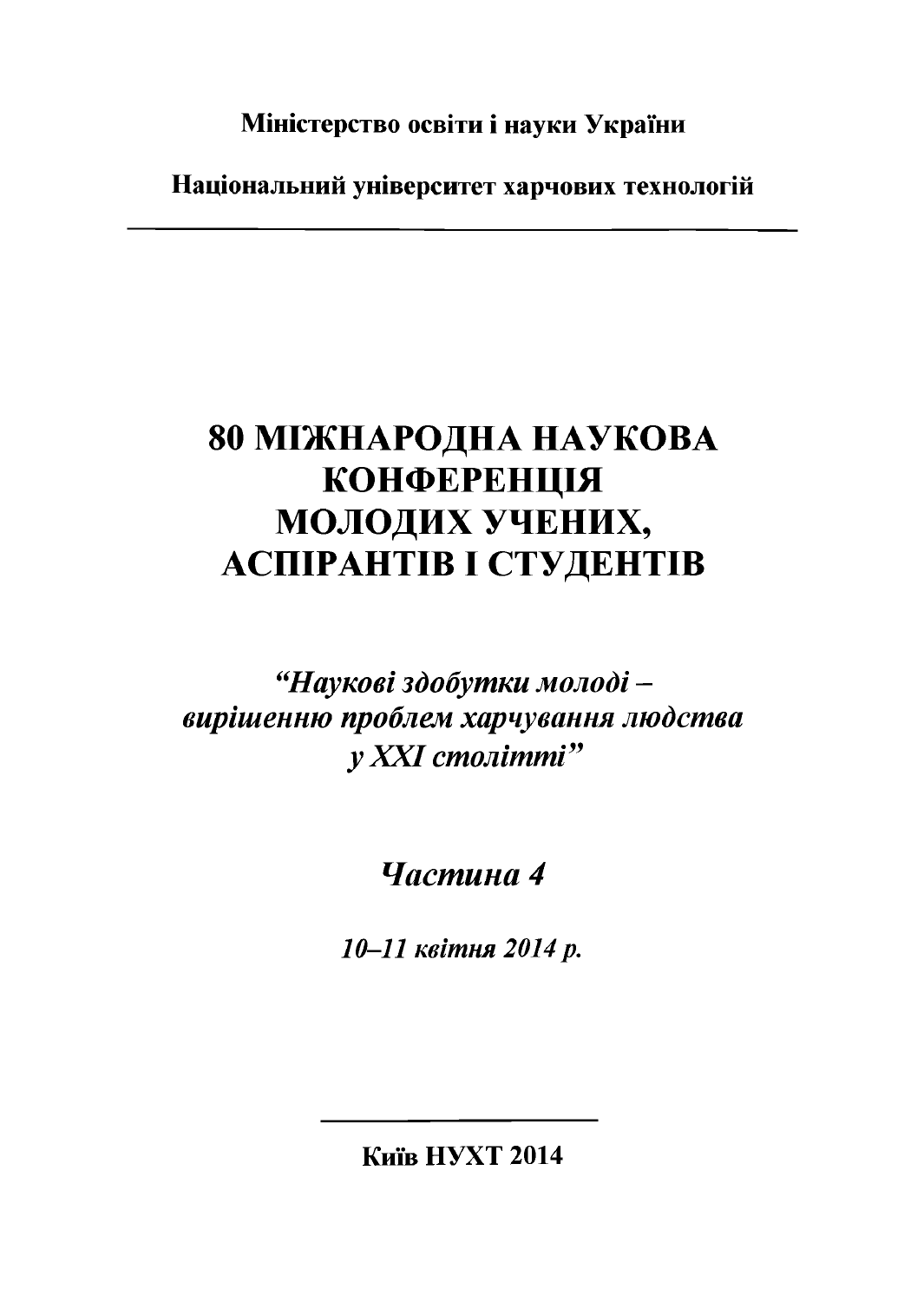**Міністерство освіти і науки України**

**Національний університет харчових технологій**

## **80 МІЖНАРОДНА НАУКОВА КОНФЕРЕНЦІЯ МОЛОДИХ УЧЕНИХ, АСПІРАНТІВ І СТУДЕНТІВ**

*"Наукові здобутки молоді вирішенню проблем харчування людства у XXI столітті"*

## *Частина 4*

*10-11 квітня 2014 р.*

**Київ НУХТ 2014**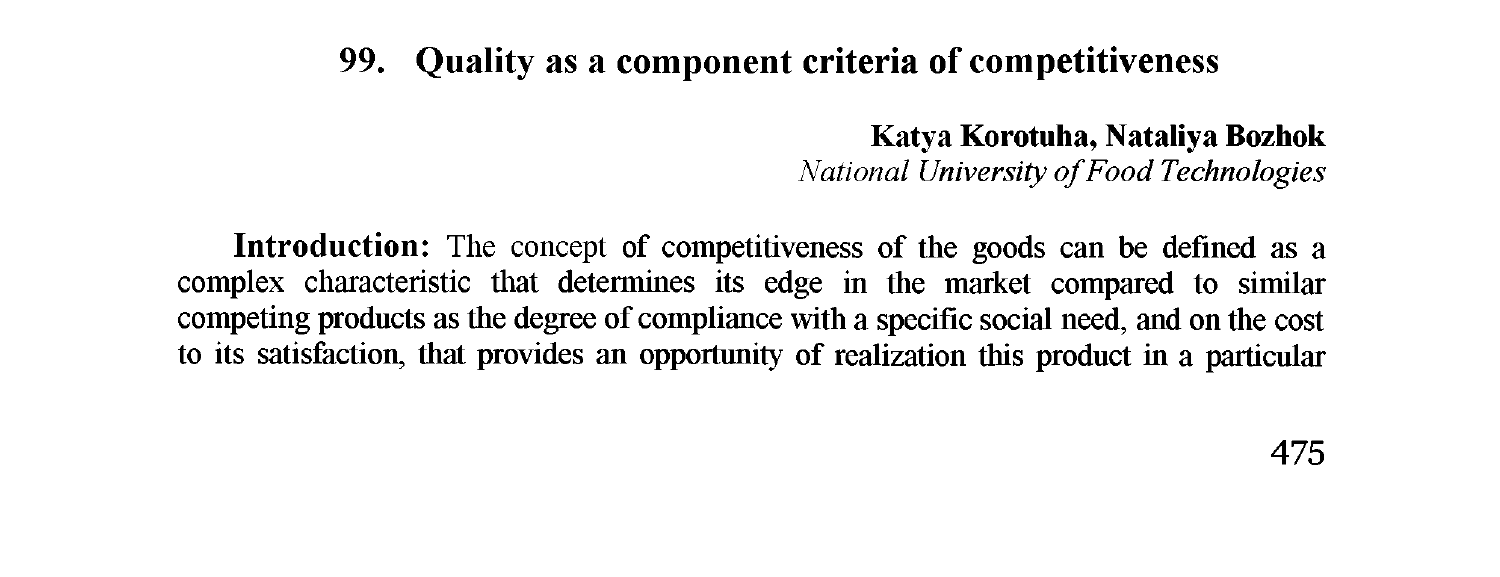## **99. Quality as a component criteria of competitiveness**

Katya Korotuha, Nataliya Bozhok *National University of Food Technologies* 

Introduction: The concept of competitiveness of the goods can be defined as a complex characteristic that determines its edge in the market compared to similar competing products as the degree of compliance with a specific social need, and on the cost to its satisfaction, that provides an opportunity of realization this product in a particular

**475**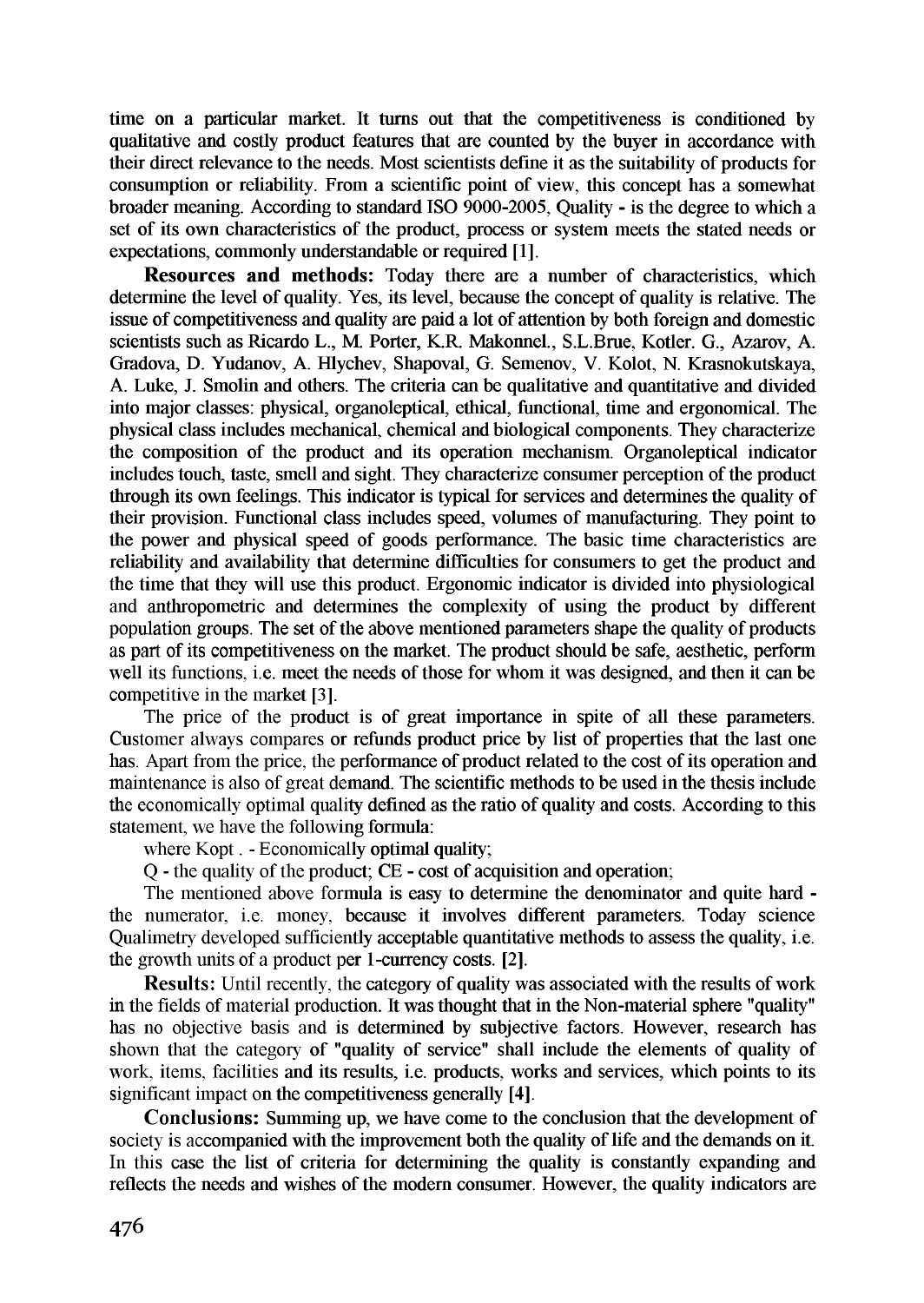time on a particular market. It turns out that the competitiveness is conditioned by qualitative and costly product features that are counted by the buyer in accordance with their direct relevance to the needs. Most scientists define it as the suitability of products for consumption or reliability. From a scientific point of view, this concept has a somewhat broader meaning. According to standard ISO 9000-2005, Quality - is the degree to which a set of its own characteristics of the product, process or system meets the stated needs or expectations, commonly understandable or required [1].

**Resources and methods:** Today there are a number of characteristics, which determine the level of quality. Yes, its level, because the concept of quality is relative. The issue of competitiveness and quality are paid a lot of attention by both foreign and domestic scientists such as Ricardo L., M. Porter, K.R. Makonnel., S.L.Brue, Kotler. G., Azarov, A. Gradova, D. Yudanov, A. Hlychev, Shapoval, G. Semenov, V. Kolot, N. Krasnokutskaya, A. Luke, J. Smolin and others. The criteria can be qualitative and quantitative and divided into major classes: physical, organoleptical, ethical, functional, time and ergonomical. The physical class includes mechanical, chemical and biological components. They characterize the composition of the product and its operation mechanism. Organoleptical indicator includes touch, taste, smell and sight. They characterize consumer perception of the product through its own feelings. This indicator is typical for services and determines the quality of their provision. Functional class includes speed, volumes of manufacturing. They point to the power and physical speed of goods performance. The basic time characteristics are reliability and availability that determine difficulties for consumers to get the product and the time that they will use this product. Ergonomic indicator is divided into physiological and anthropometric and determines the complexity of using the product by different population groups. The set of the above mentioned parameters shape the quality of products as part of its competitiveness on the market. The product should be safe, aesthetic, perform well its functions, i.e. meet the needs of those for whom it was designed, and then it can be competitive in the market [3].

The price of the product is of great importance in spite of all these parameters. Customer always compares or refunds product price by list of properties that the last one has. Apart from the price, the performance of product related to the cost of its operation and maintenance is also of great demand. The scientific methods to be used in the thesis include the economically optimal quality defined as the ratio of quality and costs. According to this statement, we have the following formula:

where Kopt. - Economically optimal quality;

Q - the quality of the product; CE - cost of acquisition and operation;

The mentioned above formula is easy to determine the denominator and quite hard the numerator, i.e. money, because it involves different parameters. Today science Qualimetry developed sufficiently acceptable quantitative methods to assess the quality, i.e. the growth units of a product per 1-currency costs. [2].

**Results:** Until recently, the category of quality was associated with the results of work in the fields of material production. It was thought that in the Non-material sphere "quality" has no objective basis and is determined by subjective factors. However, research has shown that the category of "quality of service" shall include the elements of quality of work, items, facilities and its results, i.e. products, works and services, which points to its significant impact on the competitiveness generally [4].

**Conclusions:** Summing up, we have come to the conclusion that the development of society is accompanied with the improvement both the quality of life and the demands on it. In this case the list of criteria for determining the quality is constantly expanding and reflects the needs and wishes of the modem consumer. However, the quality indicators are